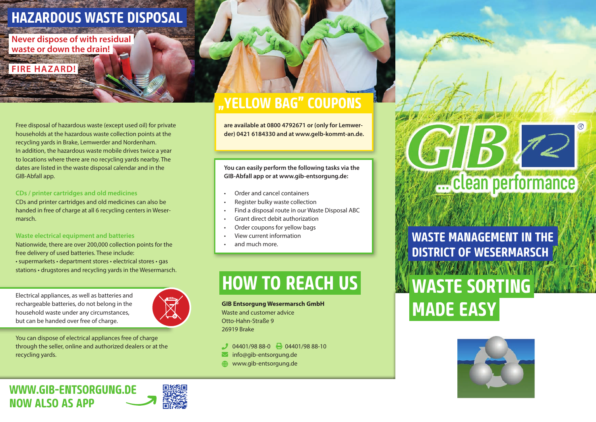# **HAZARDOUS WASTE DISPOSAL**

**Never dispose of with residual waste or down the drain!**

**FIRE HAZARD!**

GIB-Abfall app.

Free disposal of hazardous waste (except used oil) for private households at the hazardous waste collection points at the recycling yards in Brake, Lemwerder and Nordenham. In addition, the hazardous waste mobile drives twice a year to locations where there are no recycling yards nearby. The dates are listed in the waste disposal calendar and in the

### **CDs / printer cartridges and old medicines**

CDs and printer cartridges and old medicines can also be handed in free of charge at all 6 recycling centers in Wesermarsch.

#### **Waste electrical equipment and batteries**

Nationwide, there are over 200,000 collection points for the free delivery of used batteries. These include: • supermarkets • department stores • electrical stores • gas

stations • drugstores and recycling yards in the Wesermarsch.

Electrical appliances, as well as batteries and rechargeable batteries, do not belong in the household waste under any circumstances, but can be handed over free of charge.



You can dispose of electrical appliances free of charge through the seller, online and authorized dealers or at the recycling yards.

# **"YELLOW BAG" COUPONS**

**are available at 0800 4792671 or (only for Lemwerder) 0421 6184330 and at www.gelb-kommt-an.de.**

**You can easily perform the following tasks via the GIB-Abfall app or at www.gib-entsorgung.de:**

- Order and cancel containers
- Register bulky waste collection
- Find a disposal route in our Waste Disposal ABC
- Grant direct debit authorization
- Order coupons for yellow bags
- View current information
- and much more.

# **HOW TO REACH US**

**GIB Entsorgung Wesermarsch GmbH** Waste and customer advice Otto-Hahn-Straße 9 26919 Brake

- $0.94401/9888-0$   $\rightarrow 0.4401/9888-10$
- $\blacksquare$  info@gib-entsorgung.de
- **WWW.gib-entsorgung.de**



**WASTE MANAGEMENT IN THE DISTRICT OF WESERMARSCH** THE STACK WALLACE SEEMS **WASTE SORTING MADE EASY**